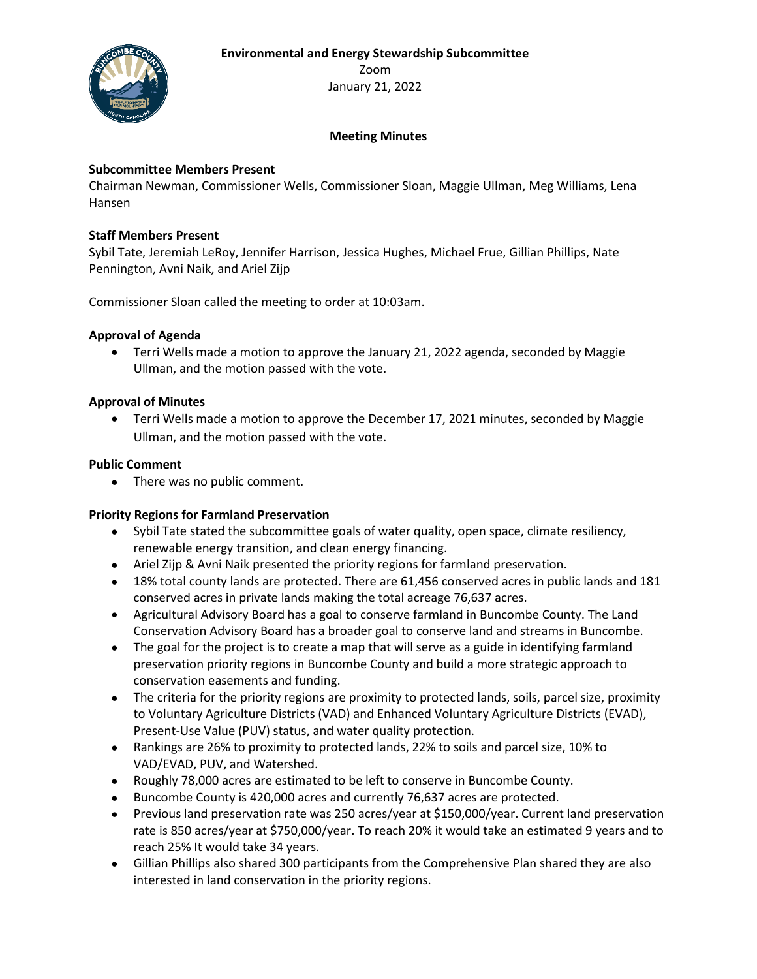**Environmental and Energy Stewardship Subcommittee**



Zoom January 21, 2022

# **Meeting Minutes**

## **Subcommittee Members Present**

Chairman Newman, Commissioner Wells, Commissioner Sloan, Maggie Ullman, Meg Williams, Lena Hansen

### **Staff Members Present**

Sybil Tate, Jeremiah LeRoy, Jennifer Harrison, Jessica Hughes, Michael Frue, Gillian Phillips, Nate Pennington, Avni Naik, and Ariel Zijp

Commissioner Sloan called the meeting to order at 10:03am.

### **Approval of Agenda**

• Terri Wells made a motion to approve the January 21, 2022 agenda, seconded by Maggie Ullman, and the motion passed with the vote.

### **Approval of Minutes**

• Terri Wells made a motion to approve the December 17, 2021 minutes, seconded by Maggie Ullman, and the motion passed with the vote.

### **Public Comment**

• There was no public comment.

#### **Priority Regions for Farmland Preservation**

- Sybil Tate stated the subcommittee goals of water quality, open space, climate resiliency, renewable energy transition, and clean energy financing.
- Ariel Zijp & Avni Naik presented the priority regions for farmland preservation.
- 18% total county lands are protected. There are 61,456 conserved acres in public lands and 181 conserved acres in private lands making the total acreage 76,637 acres.
- Agricultural Advisory Board has a goal to conserve farmland in Buncombe County. The Land Conservation Advisory Board has a broader goal to conserve land and streams in Buncombe.
- The goal for the project is to create a map that will serve as a guide in identifying farmland preservation priority regions in Buncombe County and build a more strategic approach to conservation easements and funding.
- The criteria for the priority regions are proximity to protected lands, soils, parcel size, proximity to Voluntary Agriculture Districts (VAD) and Enhanced Voluntary Agriculture Districts (EVAD), Present-Use Value (PUV) status, and water quality protection.
- Rankings are 26% to proximity to protected lands, 22% to soils and parcel size, 10% to VAD/EVAD, PUV, and Watershed.
- Roughly 78,000 acres are estimated to be left to conserve in Buncombe County.
- Buncombe County is 420,000 acres and currently 76,637 acres are protected.
- Previous land preservation rate was 250 acres/year at \$150,000/year. Current land preservation rate is 850 acres/year at \$750,000/year. To reach 20% it would take an estimated 9 years and to reach 25% It would take 34 years.
- Gillian Phillips also shared 300 participants from the Comprehensive Plan shared they are also interested in land conservation in the priority regions.